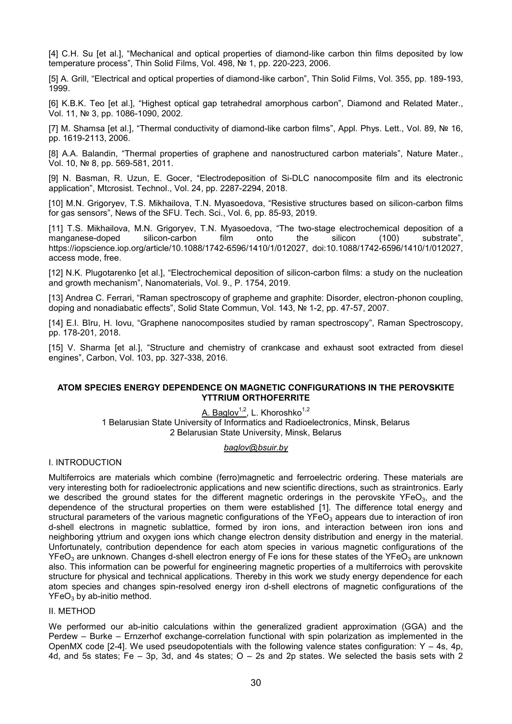#### **ATOM SPECIES ENERGY DEPENDENCE ON MAGNETIC CONFIGURATIONS IN THE PEROVSKITE YTTRIUM ORTHOFERRITE**

A. Baglov<sup>1,2</sup>, L. Khoroshko<sup>1,2</sup> 1 Belarusian State University of Informatics and Radioelectronics, Minsk, Belarus 2 Belarusian State University, Minsk, Belarus

## *baglov@bsuir.by*

# I. INTRODUCTION

Multiferroics are materials which combine (ferro)magnetic and ferroelectric ordering. These materials are very interesting both for radioelectronic applications and new scientific directions, such as straintronics. Early we described the ground states for the different magnetic orderings in the perovskite YFeO<sub>3</sub>, and the dependence of the structural properties on them were established [1]. The difference total energy and structural parameters of the various magnetic configurations of the YFeO<sub>3</sub> appears due to interaction of iron d-shell electrons in magnetic sublattice, formed by iron ions, and interaction between iron ions and neighboring yttrium and oxygen ions which change electron density distribution and energy in the material. Unfortunately, contribution dependence for each atom species in various magnetic configurations of the  $YFeO<sub>3</sub>$  are unknown. Changes d-shell electron energy of Fe ions for these states of the YFeO<sub>3</sub> are unknown also. This information can be powerful for engineering magnetic properties of a multiferroics with perovskite structure for physical and technical applications. Thereby in this work we study energy dependence for each atom species and changes spin-resolved energy iron d-shell electrons of magnetic configurations of the  $YFeO<sub>3</sub>$  by ab-initio method.

## II. METHOD

We performed our ab-initio calculations within the generalized gradient approximation (GGA) and the Perdew – Burke – Ernzerhof exchange-correlation functional with spin polarization as implemented in the OpenMX code  $[2-4]$ . We used pseudopotentials with the following valence states configuration: Y – 4s, 4p, 4d, and 5s states; Fe – 3p, 3d, and 4s states; O – 2s and 2p states. We selected the basis sets with 2